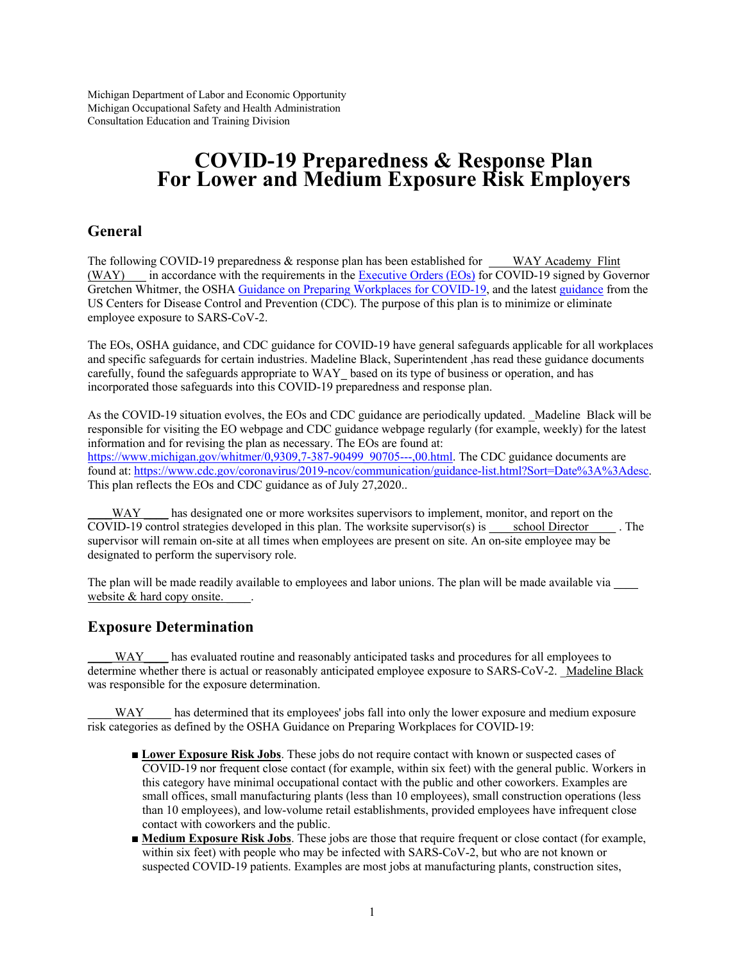Michigan Department of Labor and Economic Opportunity Michigan Occupational Safety and Health Administration Consultation Education and Training Division

# **COVID-19 Preparedness & Response Plan For Lower and Medium Exposure Risk Employers**

## **General**

The following COVID-19 preparedness & response plan has been established for WAY Academy Flint (WAY) \_\_\_ in accordance with the requirements in the Executive Orders (EOs) for COVID-19 signed by Governor Gretchen Whitmer, the OSHA Guidance on Preparing Workplaces for COVID-19, and the latest guidance from the US Centers for Disease Control and Prevention (CDC). The purpose of this plan is to minimize or eliminate employee exposure to SARS-CoV-2.

The EOs, OSHA guidance, and CDC guidance for COVID-19 have general safeguards applicable for all workplaces and specific safeguards for certain industries. Madeline Black, Superintendent ,has read these guidance documents carefully, found the safeguards appropriate to WAY\_ based on its type of business or operation, and has incorporated those safeguards into this COVID-19 preparedness and response plan.

As the COVID-19 situation evolves, the EOs and CDC guidance are periodically updated. Madeline Black will be responsible for visiting the EO webpage and CDC guidance webpage regularly (for example, weekly) for the latest information and for revising the plan as necessary. The EOs are found at: https://www.michigan.gov/whitmer/0,9309,7-387-90499\_90705---,00.html. The CDC guidance documents are found at: https://www.cdc.gov/coronavirus/2019-ncov/communication/guidance-list.html?Sort=Date%3A%3Adesc. This plan reflects the EOs and CDC guidance as of July 27,2020..

\_\_\_\_WAY \_\_\_\_ has designated one or more worksites supervisors to implement, monitor, and report on the COVID-19 control strategies developed in this plan. The worksite supervisor(s) is \_\_\_\_\_ school Director \_\_\_\_ . The supervisor will remain on-site at all times when employees are present on site. An on-site employee may be designated to perform the supervisory role.

The plan will be made readily available to employees and labor unions. The plan will be made available via \_\_\_\_ website & hard copy onsite.

## **Exposure Determination**

\_\_\_\_ WAY\_\_\_\_ has evaluated routine and reasonably anticipated tasks and procedures for all employees to determine whether there is actual or reasonably anticipated employee exposure to SARS-CoV-2. \_Madeline Black was responsible for the exposure determination.

\_\_\_\_ WAY \_\_\_\_ has determined that its employees' jobs fall into only the lower exposure and medium exposure risk categories as defined by the OSHA Guidance on Preparing Workplaces for COVID-19:

- **Lower Exposure Risk Jobs**. These jobs do not require contact with known or suspected cases of COVID-19 nor frequent close contact (for example, within six feet) with the general public. Workers in this category have minimal occupational contact with the public and other coworkers. Examples are small offices, small manufacturing plants (less than 10 employees), small construction operations (less than 10 employees), and low-volume retail establishments, provided employees have infrequent close contact with coworkers and the public.
- **Medium Exposure Risk Jobs**. These jobs are those that require frequent or close contact (for example, within six feet) with people who may be infected with SARS-CoV-2, but who are not known or suspected COVID-19 patients. Examples are most jobs at manufacturing plants, construction sites,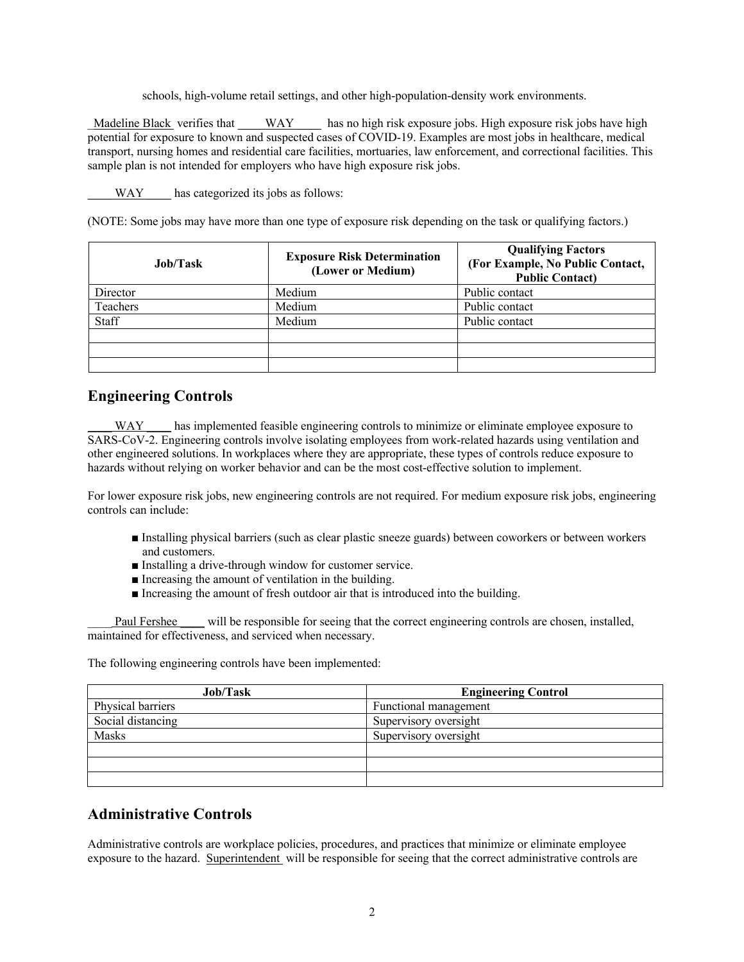schools, high-volume retail settings, and other high-population-density work environments.

Madeline Black verifies that WAY has no high risk exposure jobs. High exposure risk jobs have high potential for exposure to known and suspected cases of COVID-19. Examples are most jobs in healthcare, medical transport, nursing homes and residential care facilities, mortuaries, law enforcement, and correctional facilities. This sample plan is not intended for employers who have high exposure risk jobs.

WAY has categorized its jobs as follows:

(NOTE: Some jobs may have more than one type of exposure risk depending on the task or qualifying factors.)

| Job/Task | <b>Exposure Risk Determination</b><br>(Lower or Medium) | <b>Qualifying Factors</b><br>(For Example, No Public Contact,<br><b>Public Contact)</b> |
|----------|---------------------------------------------------------|-----------------------------------------------------------------------------------------|
| Director | Medium                                                  | Public contact                                                                          |
| Teachers | Medium                                                  | Public contact                                                                          |
| Staff    | Medium                                                  | Public contact                                                                          |
|          |                                                         |                                                                                         |
|          |                                                         |                                                                                         |
|          |                                                         |                                                                                         |

## **Engineering Controls**

\_\_\_\_ WAY \_\_\_\_ has implemented feasible engineering controls to minimize or eliminate employee exposure to SARS-CoV-2. Engineering controls involve isolating employees from work-related hazards using ventilation and other engineered solutions. In workplaces where they are appropriate, these types of controls reduce exposure to hazards without relying on worker behavior and can be the most cost-effective solution to implement.

For lower exposure risk jobs, new engineering controls are not required. For medium exposure risk jobs, engineering controls can include:

- Installing physical barriers (such as clear plastic sneeze guards) between coworkers or between workers and customers.
- Installing a drive-through window for customer service.
- Increasing the amount of ventilation in the building.
- Increasing the amount of fresh outdoor air that is introduced into the building.

Paul Fershee \_\_\_\_ will be responsible for seeing that the correct engineering controls are chosen, installed, maintained for effectiveness, and serviced when necessary.

The following engineering controls have been implemented:

| Job/Task          | <b>Engineering Control</b> |
|-------------------|----------------------------|
| Physical barriers | Functional management      |
| Social distancing | Supervisory oversight      |
| Masks             | Supervisory oversight      |
|                   |                            |
|                   |                            |
|                   |                            |

# **Administrative Controls**

Administrative controls are workplace policies, procedures, and practices that minimize or eliminate employee exposure to the hazard. Superintendent will be responsible for seeing that the correct administrative controls are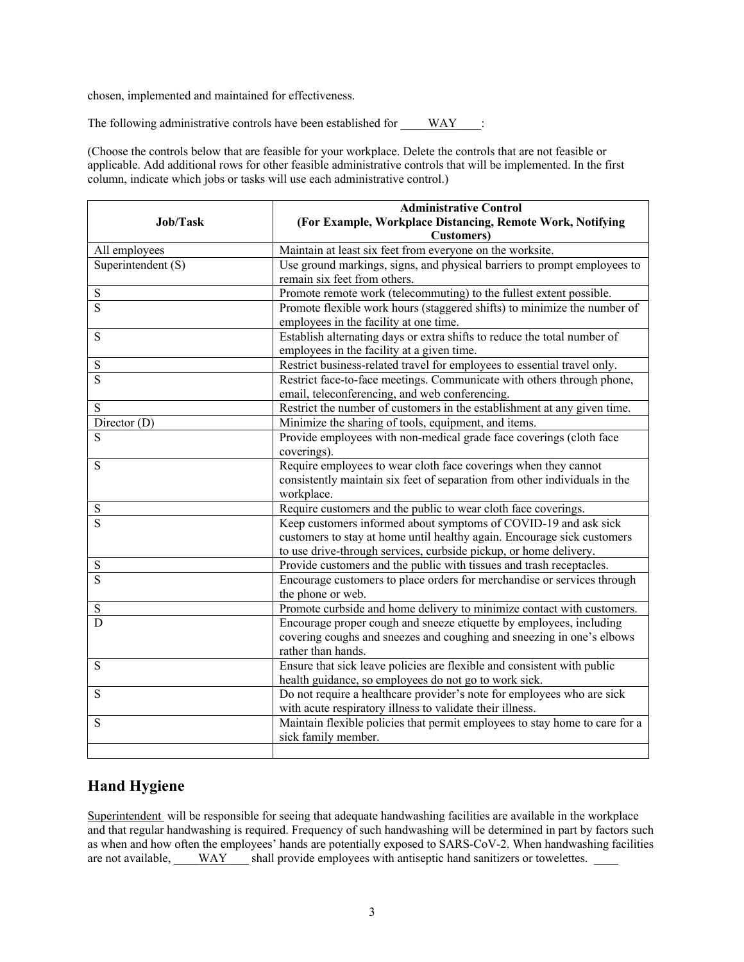chosen, implemented and maintained for effectiveness.

The following administrative controls have been established for \_\_\_\_ WAY\_\_\_\_:

(Choose the controls below that are feasible for your workplace. Delete the controls that are not feasible or applicable. Add additional rows for other feasible administrative controls that will be implemented. In the first column, indicate which jobs or tasks will use each administrative control.)

|                         | <b>Administrative Control</b><br>(For Example, Workplace Distancing, Remote Work, Notifying |  |
|-------------------------|---------------------------------------------------------------------------------------------|--|
| Job/Task                |                                                                                             |  |
|                         | <b>Customers</b> )                                                                          |  |
| All employees           | Maintain at least six feet from everyone on the worksite.                                   |  |
| Superintendent (S)      | Use ground markings, signs, and physical barriers to prompt employees to                    |  |
|                         | remain six feet from others.                                                                |  |
| $\mathbf S$             | Promote remote work (telecommuting) to the fullest extent possible.                         |  |
| S                       | Promote flexible work hours (staggered shifts) to minimize the number of                    |  |
|                         | employees in the facility at one time.                                                      |  |
| S                       | Establish alternating days or extra shifts to reduce the total number of                    |  |
|                         | employees in the facility at a given time.                                                  |  |
| ${\bf S}$               | Restrict business-related travel for employees to essential travel only.                    |  |
| S                       | Restrict face-to-face meetings. Communicate with others through phone,                      |  |
|                         | email, teleconferencing, and web conferencing.                                              |  |
| S                       | Restrict the number of customers in the establishment at any given time.                    |  |
| Director $(D)$          | Minimize the sharing of tools, equipment, and items.                                        |  |
| S                       | Provide employees with non-medical grade face coverings (cloth face                         |  |
|                         | coverings).                                                                                 |  |
| S                       | Require employees to wear cloth face coverings when they cannot                             |  |
|                         | consistently maintain six feet of separation from other individuals in the                  |  |
|                         | workplace.                                                                                  |  |
| S                       | Require customers and the public to wear cloth face coverings.                              |  |
| $\overline{\mathbf{S}}$ | Keep customers informed about symptoms of COVID-19 and ask sick                             |  |
|                         | customers to stay at home until healthy again. Encourage sick customers                     |  |
|                         | to use drive-through services, curbside pickup, or home delivery.                           |  |
| $\mathbf S$             | Provide customers and the public with tissues and trash receptacles.                        |  |
| S                       | Encourage customers to place orders for merchandise or services through                     |  |
|                         | the phone or web.                                                                           |  |
| S                       | Promote curbside and home delivery to minimize contact with customers.                      |  |
| D                       | Encourage proper cough and sneeze etiquette by employees, including                         |  |
|                         | covering coughs and sneezes and coughing and sneezing in one's elbows                       |  |
|                         | rather than hands.                                                                          |  |
| $\mathbf S$             | Ensure that sick leave policies are flexible and consistent with public                     |  |
|                         | health guidance, so employees do not go to work sick.                                       |  |
| S                       | Do not require a healthcare provider's note for employees who are sick                      |  |
|                         | with acute respiratory illness to validate their illness.                                   |  |
| S                       | Maintain flexible policies that permit employees to stay home to care for a                 |  |
|                         | sick family member.                                                                         |  |
|                         |                                                                                             |  |

# **Hand Hygiene**

Superintendent will be responsible for seeing that adequate handwashing facilities are available in the workplace and that regular handwashing is required. Frequency of such handwashing will be determined in part by factors such as when and how often the employees' hands are potentially exposed to SARS-CoV-2. When handwashing facilities are not available, \_\_\_\_WAY \_\_\_ shall provide employees with antiseptic hand sanitizers or towelettes. \_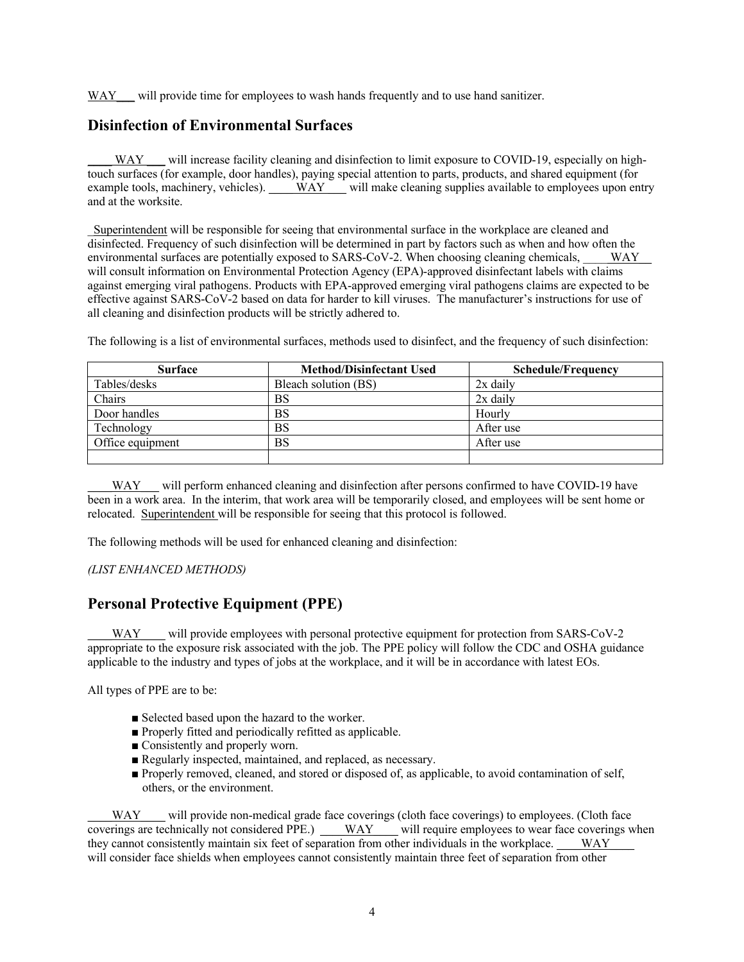WAY will provide time for employees to wash hands frequently and to use hand sanitizer.

# **Disinfection of Environmental Surfaces**

WAY will increase facility cleaning and disinfection to limit exposure to COVID-19, especially on hightouch surfaces (for example, door handles), paying special attention to parts, products, and shared equipment (for example tools, machinery, vehicles). \_\_\_\_ WAY \_\_ will make cleaning supplies available to employees upon entry and at the worksite.

\_Superintendent will be responsible for seeing that environmental surface in the workplace are cleaned and disinfected. Frequency of such disinfection will be determined in part by factors such as when and how often the environmental surfaces are potentially exposed to SARS-CoV-2. When choosing cleaning chemicals, WAY will consult information on Environmental Protection Agency (EPA)-approved disinfectant labels with claims against emerging viral pathogens. Products with EPA-approved emerging viral pathogens claims are expected to be effective against SARS-CoV-2 based on data for harder to kill viruses. The manufacturer's instructions for use of all cleaning and disinfection products will be strictly adhered to.

The following is a list of environmental surfaces, methods used to disinfect, and the frequency of such disinfection:

| <b>Surface</b>   | <b>Method/Disinfectant Used</b> | <b>Schedule/Frequency</b> |
|------------------|---------------------------------|---------------------------|
| Tables/desks     | Bleach solution (BS)            | $2x$ daily                |
| Chairs           | BS                              | 2x daily                  |
| Door handles     | BS                              | Hourly                    |
| Technology       | BS                              | After use                 |
| Office equipment | BS                              | After use                 |
|                  |                                 |                           |

WAY will perform enhanced cleaning and disinfection after persons confirmed to have COVID-19 have been in a work area. In the interim, that work area will be temporarily closed, and employees will be sent home or relocated. Superintendent will be responsible for seeing that this protocol is followed.

The following methods will be used for enhanced cleaning and disinfection:

#### *(LIST ENHANCED METHODS)*

# **Personal Protective Equipment (PPE)**

will provide employees with personal protective equipment for protection from SARS-CoV-2 appropriate to the exposure risk associated with the job. The PPE policy will follow the CDC and OSHA guidance applicable to the industry and types of jobs at the workplace, and it will be in accordance with latest EOs.

All types of PPE are to be:

- Selected based upon the hazard to the worker.
- Properly fitted and periodically refitted as applicable.
- Consistently and properly worn.
- Regularly inspected, maintained, and replaced, as necessary.
- Properly removed, cleaned, and stored or disposed of, as applicable, to avoid contamination of self, others, or the environment.

WAY \_\_\_ will provide non-medical grade face coverings (cloth face coverings) to employees. (Cloth face coverings are technically not considered PPE.) \_\_\_WAY\_\_\_ will require employees to wear face coverings when they cannot consistently maintain six feet of separation from other individuals in the workplace. WAY will consider face shields when employees cannot consistently maintain three feet of separation from other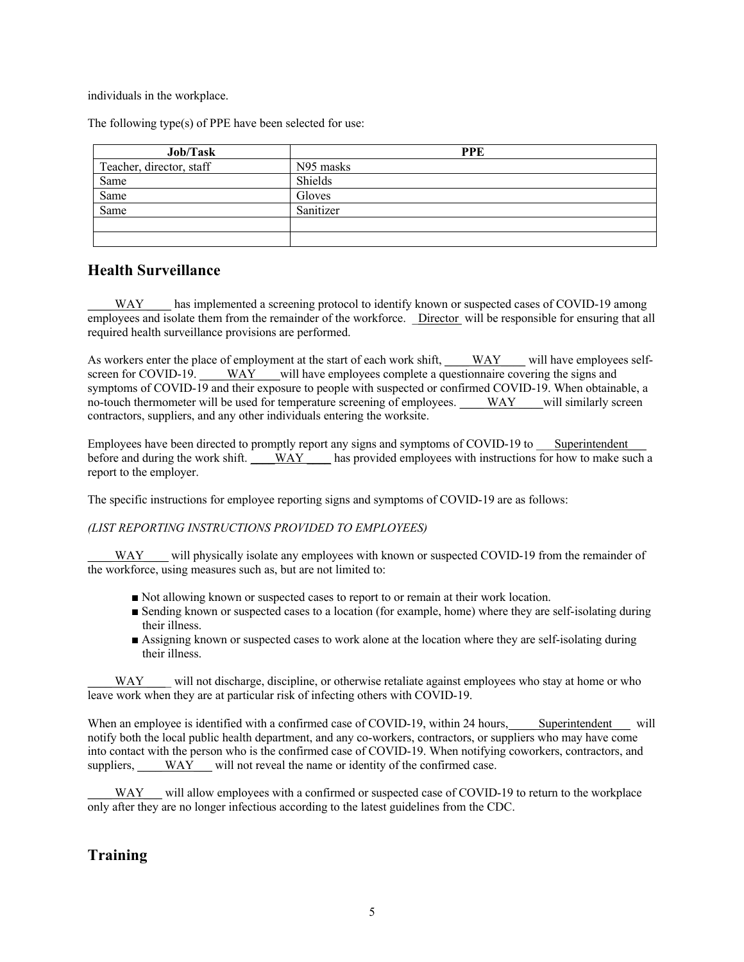individuals in the workplace.

The following type(s) of PPE have been selected for use:

| Job/Task                 | <b>PPE</b> |
|--------------------------|------------|
| Teacher, director, staff | N95 masks  |
| Same                     | Shields    |
| Same                     | Gloves     |
| Same                     | Sanitizer  |
|                          |            |
|                          |            |

## **Health Surveillance**

WAY has implemented a screening protocol to identify known or suspected cases of COVID-19 among employees and isolate them from the remainder of the workforce. \_ Director will be responsible for ensuring that all required health surveillance provisions are performed.

As workers enter the place of employment at the start of each work shift, \_\_\_\_WAY\_\_\_\_ will have employees selfscreen for COVID-19. WAY will have employees complete a questionnaire covering the signs and symptoms of COVID-19 and their exposure to people with suspected or confirmed COVID-19. When obtainable, a no-touch thermometer will be used for temperature screening of employees. WAY will similarly screen contractors, suppliers, and any other individuals entering the worksite.

Employees have been directed to promptly report any signs and symptoms of COVID-19 to Superintendent before and during the work shift. WAY has provided employees with instructions for how to make such a report to the employer.

The specific instructions for employee reporting signs and symptoms of COVID-19 are as follows:

#### *(LIST REPORTING INSTRUCTIONS PROVIDED TO EMPLOYEES)*

WAY will physically isolate any employees with known or suspected COVID-19 from the remainder of the workforce, using measures such as, but are not limited to:

- Not allowing known or suspected cases to report to or remain at their work location.
- Sending known or suspected cases to a location (for example, home) where they are self-isolating during their illness.
- Assigning known or suspected cases to work alone at the location where they are self-isolating during their illness.

WAY will not discharge, discipline, or otherwise retaliate against employees who stay at home or who leave work when they are at particular risk of infecting others with COVID-19.

When an employee is identified with a confirmed case of COVID-19, within 24 hours, Superintendent will notify both the local public health department, and any co-workers, contractors, or suppliers who may have come into contact with the person who is the confirmed case of COVID-19. When notifying coworkers, contractors, and suppliers, WAY\_\_\_ will not reveal the name or identity of the confirmed case.

WAY will allow employees with a confirmed or suspected case of COVID-19 to return to the workplace only after they are no longer infectious according to the latest guidelines from the CDC.

# **Training**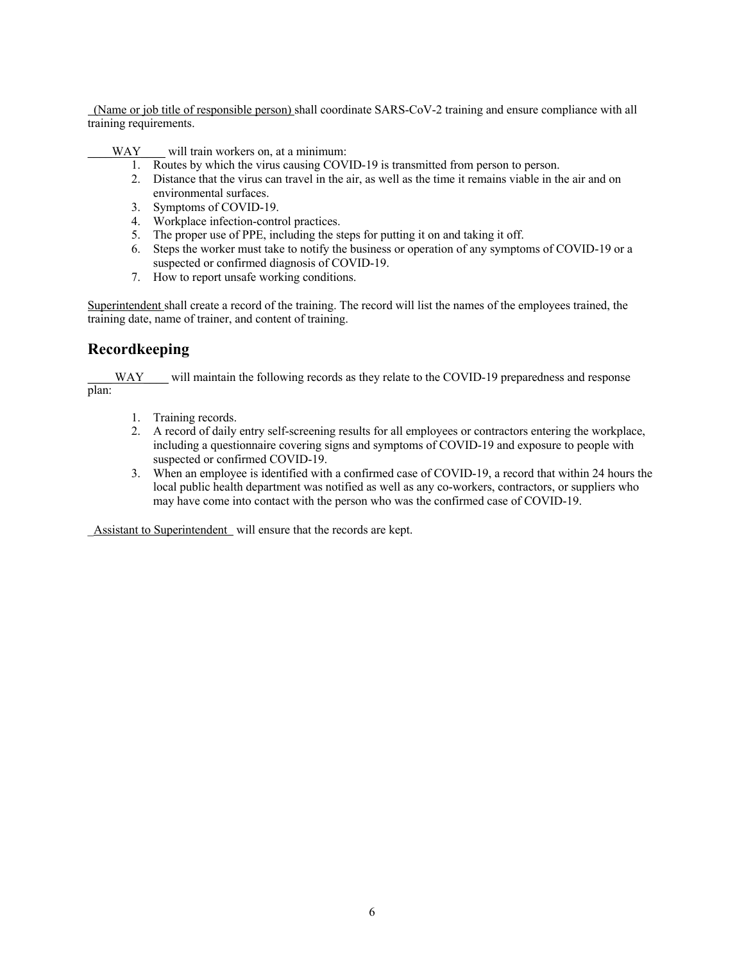(Name or job title of responsible person) shall coordinate SARS-CoV-2 training and ensure compliance with all training requirements.

 $\frac{WAY}{WAY}$  will train workers on, at a minimum:

- 1. Routes by which the virus causing COVID-19 is transmitted from person to person.
- 2. Distance that the virus can travel in the air, as well as the time it remains viable in the air and on environmental surfaces.
- 3. Symptoms of COVID-19.
- 4. Workplace infection-control practices.
- 5. The proper use of PPE, including the steps for putting it on and taking it off.
- 6. Steps the worker must take to notify the business or operation of any symptoms of COVID-19 or a suspected or confirmed diagnosis of COVID-19.
- 7. How to report unsafe working conditions.

Superintendent shall create a record of the training. The record will list the names of the employees trained, the training date, name of trainer, and content of training.

# **Recordkeeping**

WAY will maintain the following records as they relate to the COVID-19 preparedness and response plan:

- 1. Training records.
- 2. A record of daily entry self-screening results for all employees or contractors entering the workplace, including a questionnaire covering signs and symptoms of COVID-19 and exposure to people with suspected or confirmed COVID-19.
- 3. When an employee is identified with a confirmed case of COVID-19, a record that within 24 hours the local public health department was notified as well as any co-workers, contractors, or suppliers who may have come into contact with the person who was the confirmed case of COVID-19.

Assistant to Superintendent will ensure that the records are kept.